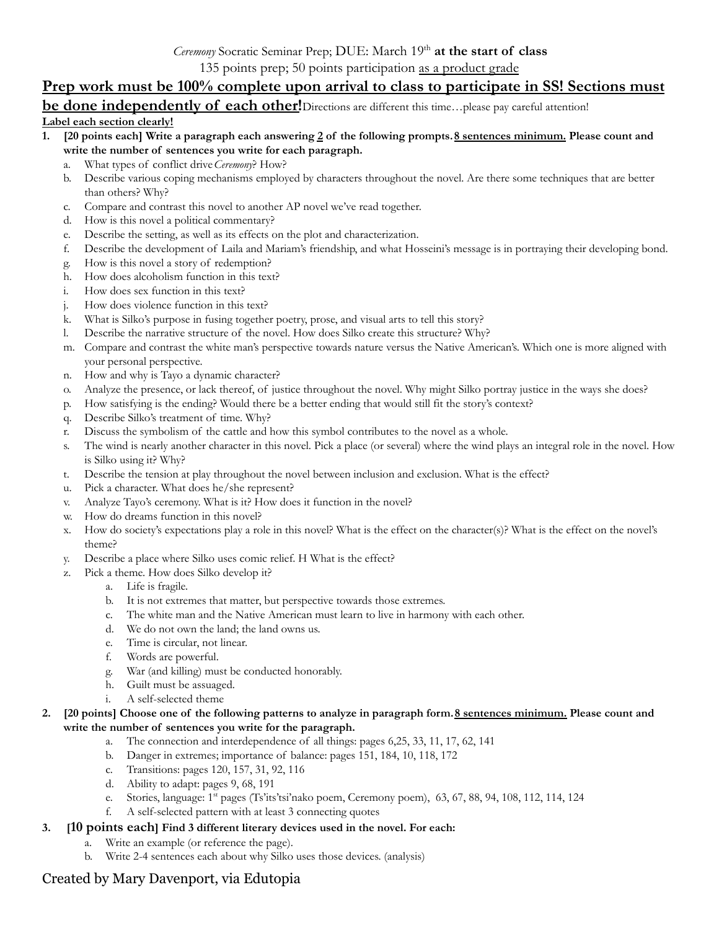135 points prep; 50 points participation as a product grade

## **Prep work must be 100% complete upon arrival to class to participate in SS! Sections must**

**be done independently of each other!**Directions are different this time…please pay careful attention!

## **Label each section clearly!**

- 1. [20 points each] Write a paragraph each answering 2 of the following prompts. 8 sentences minimum. Please count and **write the number of sentences you write for each paragraph.**
	- a. What types of conflict drive*Ceremony*? How?
	- b. Describe various coping mechanisms employed by characters throughout the novel. Are there some techniques that are better than others? Why?
	- c. Compare and contrast this novel to another AP novel we've read together.
	- d. How is this novel a political commentary?
	- e. Describe the setting, as well as its effects on the plot and characterization.
	- f. Describe the development of Laila and Mariam's friendship, and what Hosseini's message is in portraying their developing bond.
	- g. How is this novel a story of redemption?
	- h. How does alcoholism function in this text?
	- i. How does sex function in this text?
	- j. How does violence function in this text?
	- k. What is Silko's purpose in fusing together poetry, prose, and visual arts to tell this story?
	- l. Describe the narrative structure of the novel. How does Silko create this structure? Why?
	- m. Compare and contrast the white man's perspective towards nature versus the Native American's. Which one is more aligned with your personal perspective.
	- n. How and why is Tayo a dynamic character?
	- o. Analyze the presence, or lack thereof, of justice throughout the novel. Why might Silko portray justice in the ways she does?
	- p. How satisfying is the ending? Would there be a better ending that would still fit the story's context?
	- q. Describe Silko's treatment of time. Why?
	- r. Discuss the symbolism of the cattle and how this symbol contributes to the novel as a whole.
	- s. The wind is nearly another character in this novel. Pick a place (or several) where the wind plays an integral role in the novel. How is Silko using it? Why?
	- t. Describe the tension at play throughout the novel between inclusion and exclusion. What is the effect?
	- u. Pick a character. What does he/she represent?
	- v. Analyze Tayo's ceremony. What is it? How does it function in the novel?
	- w. How do dreams function in this novel?
	- x. How do society's expectations play a role in this novel? What is the effect on the character(s)? What is the effect on the novel's theme?
	- y. Describe a place where Silko uses comic relief. H What is the effect?
	- z. Pick a theme. How does Silko develop it?
		- a. Life is fragile.
		- b. It is not extremes that matter, but perspective towards those extremes.
		- c. The white man and the Native American must learn to live in harmony with each other.
		- d. We do not own the land; the land owns us.
		- e. Time is circular, not linear.
		- f. Words are powerful.
		- g. War (and killing) must be conducted honorably.
		- h. Guilt must be assuaged.
		- i. A self-selected theme
- 2. [20 points] Choose one of the following patterns to analyze in paragraph form. 8 sentences minimum. Please count and **write the number of sentences you write for the paragraph.**
	- a. The connection and interdependence of all things: pages 6,25, 33, 11, 17, 62, 141
	- b. Danger in extremes; importance of balance: pages 151, 184, 10, 118, 172
	- c. Transitions: pages 120, 157, 31, 92, 116
	- d. Ability to adapt: pages 9, 68, 191
	- e. Stories, language: 1<sup>st</sup> pages (Ts'its'tsi'nako poem, Ceremony poem), 63, 67, 88, 94, 108, 112, 114, 124
	- f. A self-selected pattern with at least 3 connecting quotes
- **3. [10 points each] Find 3 different literary devices used in the novel. For each:**
	- a. Write an example (or reference the page).
	- b. Write 2-4 sentences each about why Silko uses those devices. (analysis)

## Created by Mary Davenport, via Edutopia